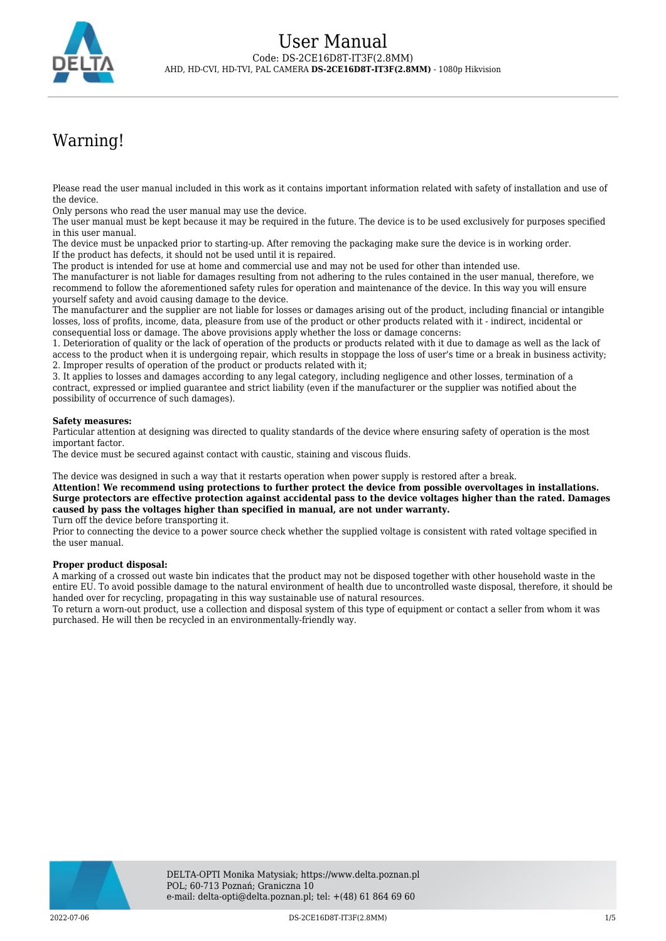

# Warning!

Please read the user manual included in this work as it contains important information related with safety of installation and use of the device.

Only persons who read the user manual may use the device.

The user manual must be kept because it may be required in the future. The device is to be used exclusively for purposes specified in this user manual.

The device must be unpacked prior to starting-up. After removing the packaging make sure the device is in working order. If the product has defects, it should not be used until it is repaired.

The product is intended for use at home and commercial use and may not be used for other than intended use.

The manufacturer is not liable for damages resulting from not adhering to the rules contained in the user manual, therefore, we recommend to follow the aforementioned safety rules for operation and maintenance of the device. In this way you will ensure yourself safety and avoid causing damage to the device.

The manufacturer and the supplier are not liable for losses or damages arising out of the product, including financial or intangible losses, loss of profits, income, data, pleasure from use of the product or other products related with it - indirect, incidental or consequential loss or damage. The above provisions apply whether the loss or damage concerns:

1. Deterioration of quality or the lack of operation of the products or products related with it due to damage as well as the lack of access to the product when it is undergoing repair, which results in stoppage the loss of user's time or a break in business activity; 2. Improper results of operation of the product or products related with it;

3. It applies to losses and damages according to any legal category, including negligence and other losses, termination of a contract, expressed or implied guarantee and strict liability (even if the manufacturer or the supplier was notified about the possibility of occurrence of such damages).

### **Safety measures:**

Particular attention at designing was directed to quality standards of the device where ensuring safety of operation is the most important factor.

The device must be secured against contact with caustic, staining and viscous fluids.

The device was designed in such a way that it restarts operation when power supply is restored after a break.

**Attention! We recommend using protections to further protect the device from possible overvoltages in installations. Surge protectors are effective protection against accidental pass to the device voltages higher than the rated. Damages caused by pass the voltages higher than specified in manual, are not under warranty.**

Turn off the device before transporting it.

Prior to connecting the device to a power source check whether the supplied voltage is consistent with rated voltage specified in the user manual.

#### **Proper product disposal:**

A marking of a crossed out waste bin indicates that the product may not be disposed together with other household waste in the entire EU. To avoid possible damage to the natural environment of health due to uncontrolled waste disposal, therefore, it should be handed over for recycling, propagating in this way sustainable use of natural resources.

To return a worn-out product, use a collection and disposal system of this type of equipment or contact a seller from whom it was purchased. He will then be recycled in an environmentally-friendly way.

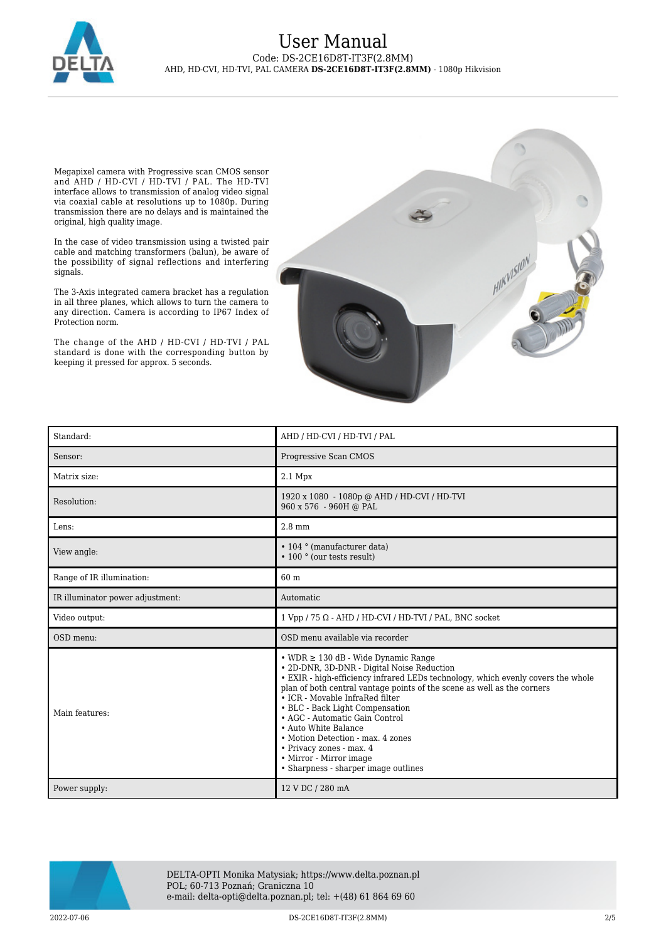

Megapixel camera with Progressive scan CMOS sensor and AHD / HD-CVI / HD-TVI / PAL. The HD-TVI interface allows to transmission of analog video signal via coaxial cable at resolutions up to 1080p. During transmission there are no delays and is maintained the original, high quality image.

In the case of video transmission using a twisted pair cable and matching transformers (balun), be aware of the possibility of signal reflections and interfering signals.

The 3-Axis integrated camera bracket has a regulation in all three planes, which allows to turn the camera to any direction. Camera is according to IP67 Index of Protection norm.

The change of the AHD / HD-CVI / HD-TVI / PAL standard is done with the corresponding button by keeping it pressed for approx. 5 seconds.



| Standard:                        | AHD / HD-CVI / HD-TVI / PAL                                                                                                                                                                                                                                                                                                                                                                                                                                                                                                     |
|----------------------------------|---------------------------------------------------------------------------------------------------------------------------------------------------------------------------------------------------------------------------------------------------------------------------------------------------------------------------------------------------------------------------------------------------------------------------------------------------------------------------------------------------------------------------------|
| Sensor:                          | Progressive Scan CMOS                                                                                                                                                                                                                                                                                                                                                                                                                                                                                                           |
| Matrix size:                     | $2.1$ Mpx                                                                                                                                                                                                                                                                                                                                                                                                                                                                                                                       |
| Resolution:                      | 1920 x 1080 - 1080p @ AHD / HD-CVI / HD-TVI<br>960 x 576 - 960H @ PAL                                                                                                                                                                                                                                                                                                                                                                                                                                                           |
| Lens:                            | $2.8$ mm                                                                                                                                                                                                                                                                                                                                                                                                                                                                                                                        |
| View angle:                      | • 104 ° (manufacturer data)<br>• 100 ° (our tests result)                                                                                                                                                                                                                                                                                                                                                                                                                                                                       |
| Range of IR illumination:        | 60 m                                                                                                                                                                                                                                                                                                                                                                                                                                                                                                                            |
| IR illuminator power adjustment: | Automatic                                                                                                                                                                                                                                                                                                                                                                                                                                                                                                                       |
| Video output:                    | $1$ Vpp / 75 $\Omega$ - AHD / HD-CVI / HD-TVI / PAL, BNC socket                                                                                                                                                                                                                                                                                                                                                                                                                                                                 |
|                                  |                                                                                                                                                                                                                                                                                                                                                                                                                                                                                                                                 |
| OSD menu:                        | OSD menu available via recorder                                                                                                                                                                                                                                                                                                                                                                                                                                                                                                 |
| Main features:                   | $\cdot$ WDR $\geq$ 130 dB - Wide Dynamic Range<br>• 2D-DNR, 3D-DNR - Digital Noise Reduction<br>• EXIR - high-efficiency infrared LEDs technology, which evenly covers the whole<br>plan of both central vantage points of the scene as well as the corners<br>• ICR - Movable InfraRed filter<br>• BLC - Back Light Compensation<br>• AGC - Automatic Gain Control<br>• Auto White Balance<br>• Motion Detection - max. 4 zones<br>• Privacy zones - max. 4<br>• Mirror - Mirror image<br>• Sharpness - sharper image outlines |



DELTA-OPTI Monika Matysiak; https://www.delta.poznan.pl POL; 60-713 Poznań; Graniczna 10 e-mail: delta-opti@delta.poznan.pl; tel: +(48) 61 864 69 60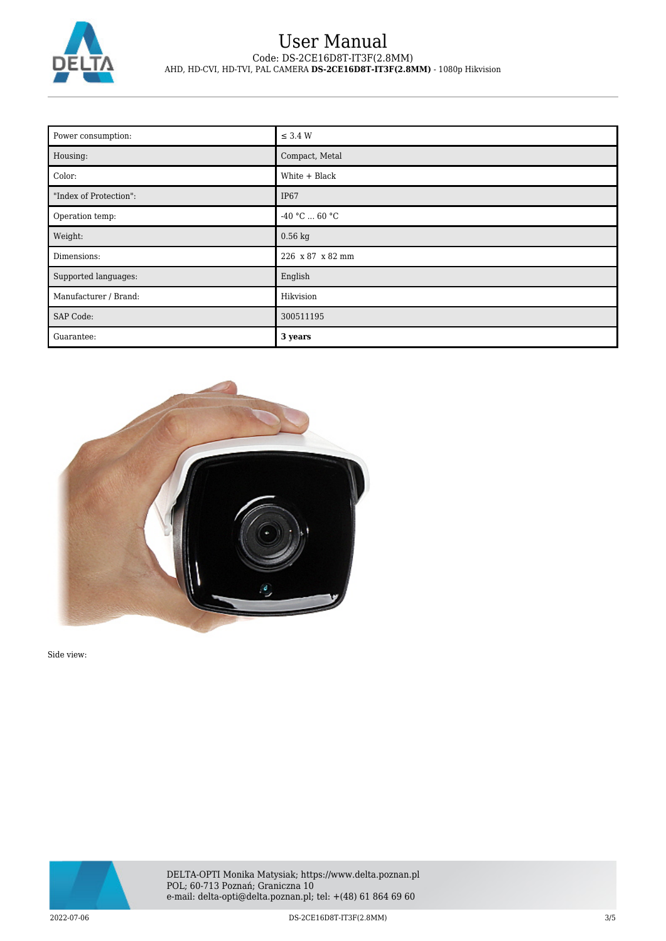

| Power consumption:     | $\leq$ 3.4 W          |
|------------------------|-----------------------|
| Housing:               | Compact, Metal        |
| Color:                 | White + Black         |
| "Index of Protection": | IP <sub>67</sub>      |
| Operation temp:        | -40 °C $\ldots$ 60 °C |
| Weight:                | $0.56$ kg             |
| Dimensions:            | 226 x 87 x 82 mm      |
| Supported languages:   | English               |
| Manufacturer / Brand:  | Hikvision             |
| SAP Code:              | 300511195             |
| Guarantee:             | 3 years               |



Side view:

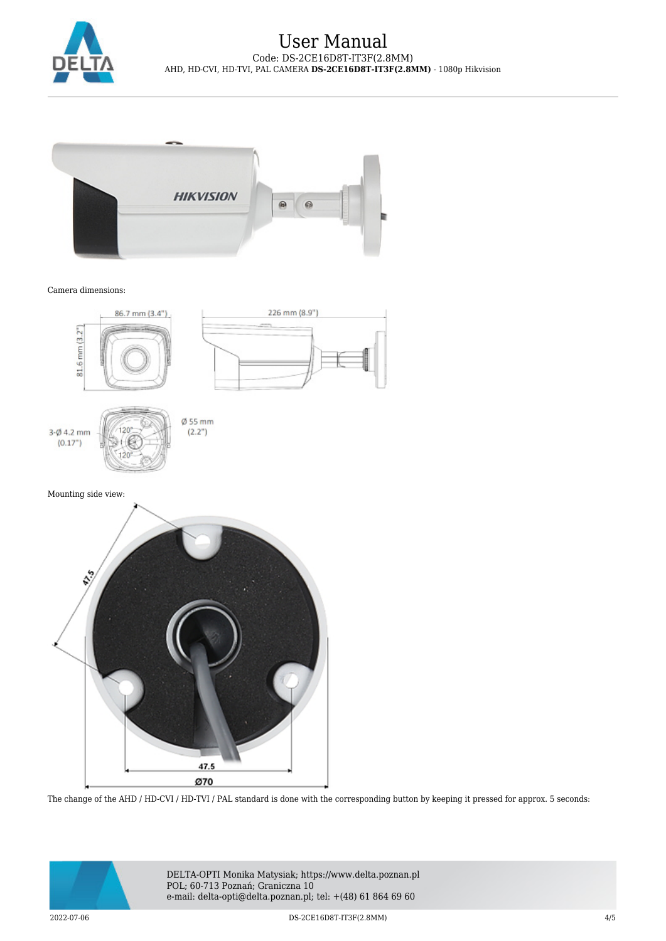



#### Camera dimensions:



The change of the AHD / HD-CVI / HD-TVI / PAL standard is done with the corresponding button by keeping it pressed for approx. 5 seconds:



DELTA-OPTI Monika Matysiak; https://www.delta.poznan.pl POL; 60-713 Poznań; Graniczna 10 e-mail: delta-opti@delta.poznan.pl; tel: +(48) 61 864 69 60